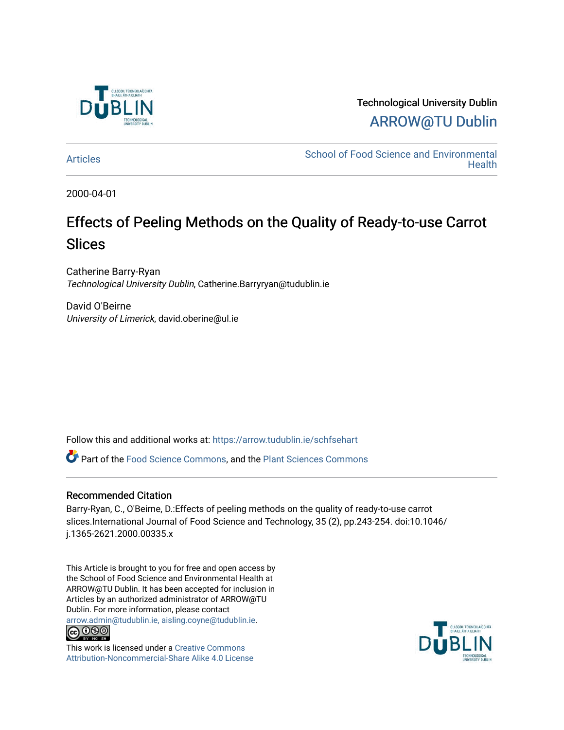

Technological University Dublin [ARROW@TU Dublin](https://arrow.tudublin.ie/) 

[Articles](https://arrow.tudublin.ie/schfsehart) **School of Food Science and Environmental Health** 

2000-04-01

# Effects of Peeling Methods on the Quality of Ready-to-use Carrot Slices

Catherine Barry-Ryan Technological University Dublin, Catherine.Barryryan@tudublin.ie

David O'Beirne University of Limerick, david.oberine@ul.ie

Follow this and additional works at: [https://arrow.tudublin.ie/schfsehart](https://arrow.tudublin.ie/schfsehart?utm_source=arrow.tudublin.ie%2Fschfsehart%2F16&utm_medium=PDF&utm_campaign=PDFCoverPages) 

Part of the [Food Science Commons,](http://network.bepress.com/hgg/discipline/84?utm_source=arrow.tudublin.ie%2Fschfsehart%2F16&utm_medium=PDF&utm_campaign=PDFCoverPages) and the [Plant Sciences Commons](http://network.bepress.com/hgg/discipline/102?utm_source=arrow.tudublin.ie%2Fschfsehart%2F16&utm_medium=PDF&utm_campaign=PDFCoverPages) 

# Recommended Citation

Barry-Ryan, C., O'Beirne, D.:Effects of peeling methods on the quality of ready-to-use carrot slices.International Journal of Food Science and Technology, 35 (2), pp.243-254. doi:10.1046/ j.1365-2621.2000.00335.x

This Article is brought to you for free and open access by the School of Food Science and Environmental Health at ARROW@TU Dublin. It has been accepted for inclusion in Articles by an authorized administrator of ARROW@TU Dublin. For more information, please contact [arrow.admin@tudublin.ie, aisling.coyne@tudublin.ie](mailto:arrow.admin@tudublin.ie,%20aisling.coyne@tudublin.ie).<br>
co 000



This work is licensed under a [Creative Commons](http://creativecommons.org/licenses/by-nc-sa/4.0/) [Attribution-Noncommercial-Share Alike 4.0 License](http://creativecommons.org/licenses/by-nc-sa/4.0/)

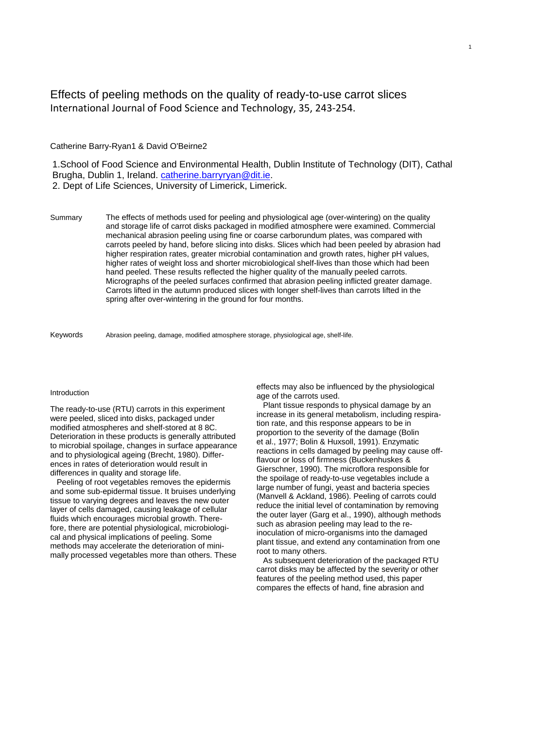# Effects of peeling methods on the quality of ready-to-use carrot slices International Journal of Food Science and Technology, 35, 243‐254.

# Catherine Barry-Ryan1 & David O'Beirne2

1.School of Food Science and Environmental Health, Dublin Institute of Technology (DIT), Cathal Brugha, Dublin 1, Ireland. [catherine.barryryan@dit.ie.](mailto:catherine.barryryan@dit.ie) 2. Dept of Life Sciences, University of Limerick, Limerick.

Summary The effects of methods used for peeling and physiological age (over-wintering) on the quality and storage life of carrot disks packaged in modified atmosphere were examined. Commercial mechanical abrasion peeling using fine or coarse carborundum plates, was compared with carrots peeled by hand, before slicing into disks. Slices which had been peeled by abrasion had higher respiration rates, greater microbial contamination and growth rates, higher pH values, higher rates of weight loss and shorter microbiological shelf-lives than those which had been hand peeled. These results reflected the higher quality of the manually peeled carrots. Micrographs of the peeled surfaces confirmed that abrasion peeling inflicted greater damage. Carrots lifted in the autumn produced slices with longer shelf-lives than carrots lifted in the spring after over-wintering in the ground for four months.

Keywords Abrasion peeling, damage, modified atmosphere storage, physiological age, shelf-life.

# Introduction

The ready-to-use (RTU) carrots in this experiment were peeled, sliced into disks, packaged under modified atmospheres and shelf-stored at 8 8C. Deterioration in these products is generally attributed to microbial spoilage, changes in surface appearance and to physiological ageing (Brecht, 1980). Differences in rates of deterioration would result in differences in quality and storage life.

 Peeling of root vegetables removes the epidermis and some sub-epidermal tissue. It bruises underlying tissue to varying degrees and leaves the new outer layer of cells damaged, causing leakage of cellular fluids which encourages microbial growth. Therefore, there are potential physiological, microbiological and physical implications of peeling. Some methods may accelerate the deterioration of minimally processed vegetables more than others. These

effects may also be influenced by the physiological age of the carrots used.

 Plant tissue responds to physical damage by an increase in its general metabolism, including respiration rate, and this response appears to be in proportion to the severity of the damage (Bolin et al., 1977; Bolin & Huxsoll, 1991). Enzymatic reactions in cells damaged by peeling may cause offflavour or loss of firmness (Buckenhuskes & Gierschner, 1990). The microflora responsible for the spoilage of ready-to-use vegetables include a large number of fungi, yeast and bacteria species (Manvell & Ackland, 1986). Peeling of carrots could reduce the initial level of contamination by removing the outer layer (Garg et al., 1990), although methods such as abrasion peeling may lead to the reinoculation of micro-organisms into the damaged plant tissue, and extend any contamination from one root to many others.

 As subsequent deterioration of the packaged RTU carrot disks may be affected by the severity or other features of the peeling method used, this paper compares the effects of hand, fine abrasion and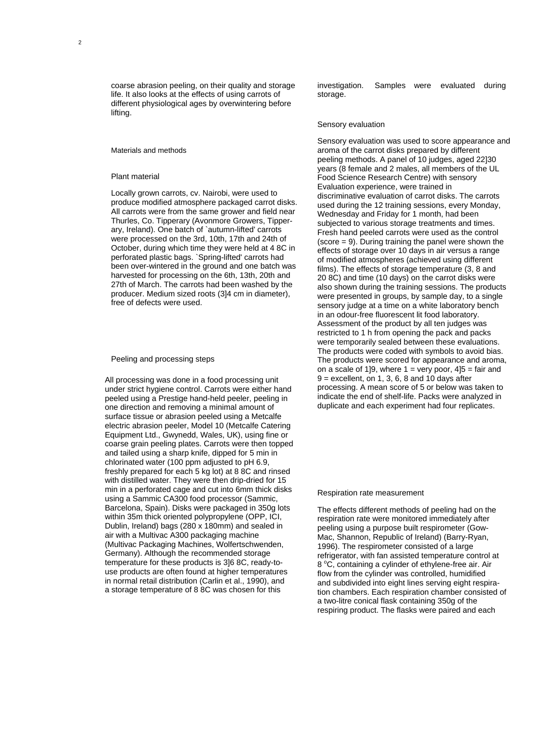coarse abrasion peeling, on their quality and storage life. It also looks at the effects of using carrots of different physiological ages by overwintering before lifting.

# Materials and methods

# Plant material

Locally grown carrots, cv. Nairobi, were used to produce modified atmosphere packaged carrot disks. All carrots were from the same grower and field near Thurles, Co. Tipperary (Avonmore Growers, Tipperary, Ireland). One batch of `autumn-lifted' carrots were processed on the 3rd, 10th, 17th and 24th of October, during which time they were held at 4 8C in perforated plastic bags. `Spring-lifted' carrots had been over-wintered in the ground and one batch was harvested for processing on the 6th, 13th, 20th and 27th of March. The carrots had been washed by the producer. Medium sized roots (3]4 cm in diameter), free of defects were used.

#### Peeling and processing steps

All processing was done in a food processing unit under strict hygiene control. Carrots were either hand peeled using a Prestige hand-held peeler, peeling in one direction and removing a minimal amount of surface tissue or abrasion peeled using a Metcalfe electric abrasion peeler, Model 10 (Metcalfe Catering Equipment Ltd., Gwynedd, Wales, UK), using fine or coarse grain peeling plates. Carrots were then topped and tailed using a sharp knife, dipped for 5 min in chlorinated water (100 ppm adjusted to pH 6.9, freshly prepared for each 5 kg lot) at 8 8C and rinsed with distilled water. They were then drip-dried for 15 min in a perforated cage and cut into 6mm thick disks using a Sammic CA300 food processor (Sammic, Barcelona, Spain). Disks were packaged in 350g lots within 35m thick oriented polypropylene (OPP, ICI, Dublin, Ireland) bags (280 x 180mm) and sealed in air with a Multivac A300 packaging machine (Multivac Packaging Machines, Wolfertschwenden, Germany). Although the recommended storage temperature for these products is 3]6 8C, ready-touse products are often found at higher temperatures in normal retail distribution (Carlin et al., 1990), and a storage temperature of 8 8C was chosen for this

investigation. storage. Samples were evaluated during

# Sensory evaluation

Sensory evaluation was used to score appearance and aroma of the carrot disks prepared by different peeling methods. A panel of 10 judges, aged 22]30 years (8 female and 2 males, all members of the UL Food Science Research Centre) with sensory Evaluation experience, were trained in discriminative evaluation of carrot disks. The carrots used during the 12 training sessions, every Monday, Wednesday and Friday for 1 month, had been subjected to various storage treatments and times. Fresh hand peeled carrots were used as the control (score = 9). During training the panel were shown the effects of storage over 10 days in air versus a range of modified atmospheres (achieved using different films). The effects of storage temperature (3, 8 and 20 8C) and time (10 days) on the carrot disks were also shown during the training sessions. The products were presented in groups, by sample day, to a single sensory judge at a time on a white laboratory bench in an odour-free fluorescent lit food laboratory. Assessment of the product by all ten judges was restricted to 1 h from opening the pack and packs were temporarily sealed between these evaluations. The products were coded with symbols to avoid bias. The products were scored for appearance and aroma, on a scale of 1]9, where  $1 =$  very poor,  $4 \mid 5 =$  fair and  $9$  = excellent, on 1, 3, 6, 8 and 10 days after processing. A mean score of 5 or below was taken to indicate the end of shelf-life. Packs were analyzed in duplicate and each experiment had four replicates.

#### Respiration rate measurement

The effects different methods of peeling had on the respiration rate were monitored immediately after peeling using a purpose built respirometer (Gow-Mac, Shannon, Republic of Ireland) (Barry-Ryan, 1996). The respirometer consisted of a large refrigerator, with fan assisted temperature control at 8 °C, containing a cylinder of ethylene-free air. Air flow from the cylinder was controlled, humidified and subdivided into eight lines serving eight respiration chambers. Each respiration chamber consisted of a two-litre conical flask containing 350g of the respiring product. The flasks were paired and each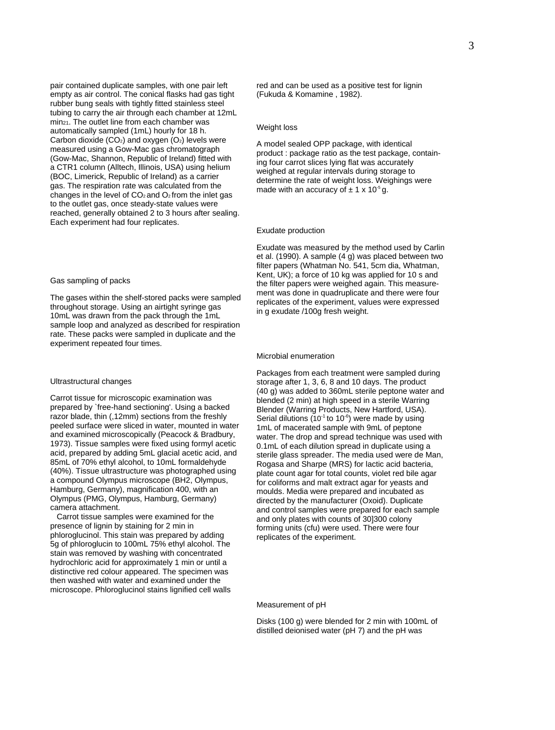pair contained duplicate samples, with one pair left empty as air control. The conical flasks had gas tight rubber bung seals with tightly fitted stainless steel tubing to carry the air through each chamber at 12mL min21. The outlet line from each chamber was automatically sampled (1mL) hourly for 18 h. Carbon dioxide  $(CO<sub>2</sub>)$  and oxygen  $(O<sub>2</sub>)$  levels were measured using a Gow-Mac gas chromatograph (Gow-Mac, Shannon, Republic of Ireland) fitted with a CTR1 column (Alltech, Illinois, USA) using helium (BOC, Limerick, Republic of Ireland) as a carrier gas. The respiration rate was calculated from the changes in the level of  $CO<sub>2</sub>$  and  $O<sub>2</sub>$  from the inlet gas to the outlet gas, once steady-state values were reached, generally obtained 2 to 3 hours after sealing. Each experiment had four replicates.

# Gas sampling of packs

The gases within the shelf-stored packs were sampled throughout storage. Using an airtight syringe gas 10mL was drawn from the pack through the 1mL sample loop and analyzed as described for respiration rate. These packs were sampled in duplicate and the experiment repeated four times.

#### Ultrastructural changes

Carrot tissue for microscopic examination was prepared by `free-hand sectioning'. Using a backed razor blade, thin (,12mm) sections from the freshly peeled surface were sliced in water, mounted in water and examined microscopically (Peacock & Bradbury, 1973). Tissue samples were fixed using formyl acetic acid, prepared by adding 5mL glacial acetic acid, and 85mL of 70% ethyl alcohol, to 10mL formaldehyde (40%). Tissue ultrastructure was photographed using a compound Olympus microscope (BH2, Olympus, Hamburg, Germany), magnification 400, with an Olympus (PMG, Olympus, Hamburg, Germany) camera attachment.

 Carrot tissue samples were examined for the presence of lignin by staining for 2 min in phloroglucinol. This stain was prepared by adding 5g of phloroglucin to 100mL 75% ethyl alcohol. The stain was removed by washing with concentrated hydrochloric acid for approximately 1 min or until a distinctive red colour appeared. The specimen was then washed with water and examined under the microscope. Phloroglucinol stains lignified cell walls red and can be used as a positive test for lignin (Fukuda & Komamine , 1982).

# Weight loss

A model sealed OPP package, with identical product : package ratio as the test package, containing four carrot slices lying flat was accurately weighed at regular intervals during storage to determine the rate of weight loss. Weighings were made with an accuracy of  $\pm$  1 x 10<sup>-5</sup> g.

#### Exudate production

Exudate was measured by the method used by Carlin et al. (1990). A sample (4 g) was placed between two filter papers (Whatman No. 541, 5cm dia, Whatman, Kent, UK); a force of 10 kg was applied for 10 s and the filter papers were weighed again. This measurement was done in quadruplicate and there were four replicates of the experiment, values were expressed in g exudate /100g fresh weight.

#### Microbial enumeration

Packages from each treatment were sampled during storage after 1, 3, 6, 8 and 10 days. The product (40 g) was added to 360mL sterile peptone water and blended (2 min) at high speed in a sterile Warring Blender (Warring Products, New Hartford, USA). Serial dilutions  $(10^{-1}$  to  $10^{-6})$  were made by using 1mL of macerated sample with 9mL of peptone water. The drop and spread technique was used with 0.1mL of each dilution spread in duplicate using a sterile glass spreader. The media used were de Man, Rogasa and Sharpe (MRS) for lactic acid bacteria, plate count agar for total counts, violet red bile agar for coliforms and malt extract agar for yeasts and moulds. Media were prepared and incubated as directed by the manufacturer (Oxoid). Duplicate and control samples were prepared for each sample and only plates with counts of 30]300 colony forming units (cfu) were used. There were four replicates of the experiment.

# Measurement of pH

Disks (100 g) were blended for 2 min with 100mL of distilled deionised water (pH 7) and the pH was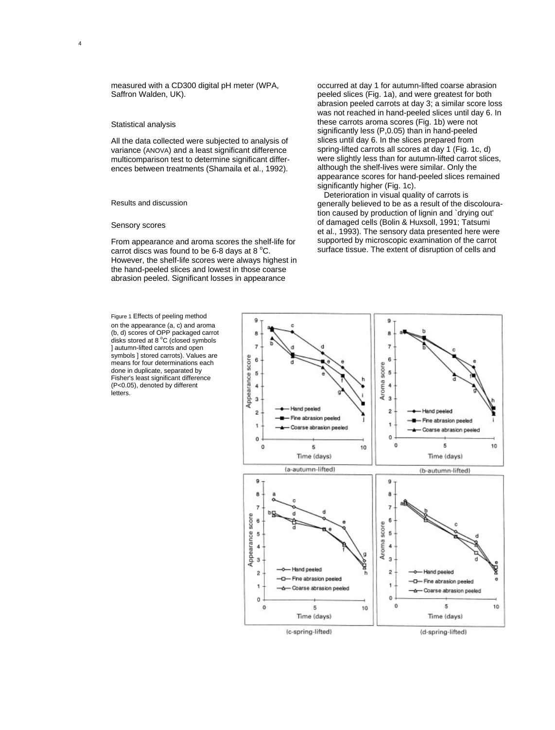measured with a CD300 digital pH meter (WPA, Saffron Walden, UK).

# Statistical analysis

All the data collected were subjected to analysis of variance (ANOVA) and a least significant difference multicomparison test to determine significant differences between treatments (Shamaila et al., 1992).

# Results and discussion

#### Sensory scores

From appearance and aroma scores the shelf-life for carrot discs was found to be 6-8 days at 8  $^{\circ}$ C. However, the shelf-life scores were always highest in the hand-peeled slices and lowest in those coarse abrasion peeled. Significant losses in appearance

Figure 1 Effects of peeling method on the appearance (a, c) and aroma (b, d) scores of OPP packaged carrot disks stored at 8 °C (closed symbols ] autumn-lifted carrots and open symbols ] stored carrots). Values are means for four determinations each done in duplicate, separated by Fisher's least significant difference (P<0.05), denoted by different letters.

occurred at day 1 for autumn-lifted coarse abrasion peeled slices (Fig. 1a), and were greatest for both abrasion peeled carrots at day 3; a similar score loss was not reached in hand-peeled slices until day 6. In these carrots aroma scores (Fig. 1b) were not significantly less (P,0.05) than in hand-peeled slices until day 6. In the slices prepared from spring-lifted carrots all scores at day 1 (Fig. 1c, d) were slightly less than for autumn-lifted carrot slices, although the shelf-lives were similar. Only the appearance scores for hand-peeled slices remained significantly higher (Fig. 1c).

 Deterioration in visual quality of carrots is generally believed to be as a result of the discolouration caused by production of lignin and `drying out' of damaged cells (Bolin & Huxsoll, 1991; Tatsumi et al., 1993). The sensory data presented here were supported by microscopic examination of the carrot surface tissue. The extent of disruption of cells and

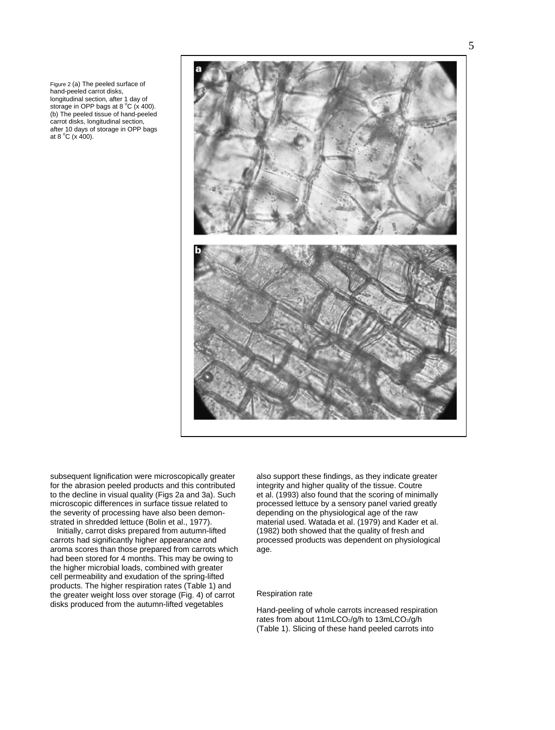Figure 2 (a) The peeled surface of hand-peeled carrot disks, longitudinal section, after 1 day of storage in OPP bags at 8  $^{\circ}$ C (x 400). (b) The peeled tissue of hand-peeled carrot disks, longitudinal section, after 10 days of storage in OPP bags at 8  $^{\circ}$ C (x 400).



subsequent lignification were microscopically greater for the abrasion peeled products and this contributed to the decline in visual quality (Figs 2a and 3a). Such microscopic differences in surface tissue related to the severity of processing have also been demonstrated in shredded lettuce (Bolin et al., 1977).

 Initially, carrot disks prepared from autumn-lifted carrots had significantly higher appearance and aroma scores than those prepared from carrots which had been stored for 4 months. This may be owing to the higher microbial loads, combined with greater cell permeability and exudation of the spring-lifted products. The higher respiration rates (Table 1) and the greater weight loss over storage (Fig. 4) of carrot disks produced from the autumn-lifted vegetables

also support these findings, as they indicate greater integrity and higher quality of the tissue. Coutre et al. (1993) also found that the scoring of minimally processed lettuce by a sensory panel varied greatly depending on the physiological age of the raw material used. Watada et al. (1979) and Kader et al. (1982) both showed that the quality of fresh and processed products was dependent on physiological age.

# Respiration rate

Hand-peeling of whole carrots increased respiration rates from about 11mLCO<sub>2</sub>/g/h to 13mLCO<sub>2</sub>/g/h (Table 1). Slicing of these hand peeled carrots into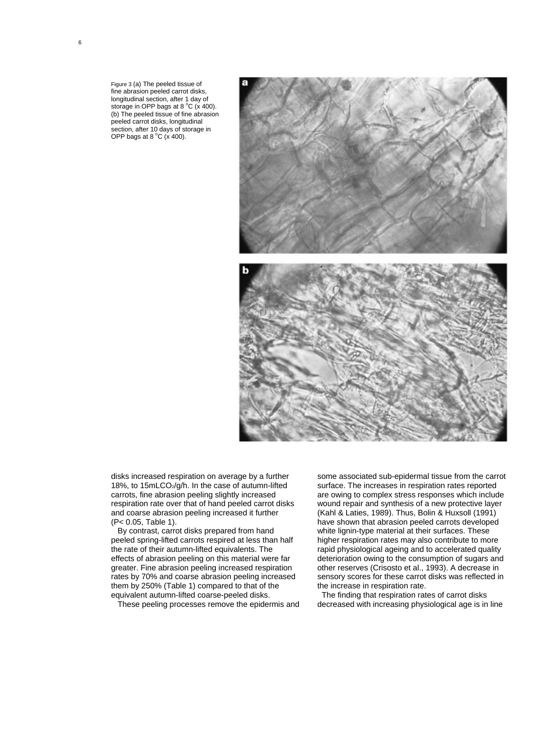Figure 3 (a) The peeled tissue of fine abrasion peeled carrot disks, longitudinal section, after 1 day of storage in OPP bags at 8  $^{\circ}$ C (x 400). (b) The peeled tissue of fine abrasion peeled carrot disks, longitudinal section, after 10 days of storage in OPP bags at 8  $^{\circ}$ C (x 400).



disks increased respiration on average by a further 18%, to  $15mLCO<sub>2</sub>/g/h$ . In the case of autumn-lifted carrots, fine abrasion peeling slightly increased respiration rate over that of hand peeled carrot disks and coarse abrasion peeling increased it further (P< 0.05, Table 1).

 By contrast, carrot disks prepared from hand peeled spring-lifted carrots respired at less than half the rate of their autumn-lifted equivalents. The effects of abrasion peeling on this material were far greater. Fine abrasion peeling increased respiration rates by 70% and coarse abrasion peeling increased them by 250% (Table 1) compared to that of the equivalent autumn-lifted coarse-peeled disks.

These peeling processes remove the epidermis and

some associated sub-epidermal tissue from the carrot surface. The increases in respiration rates reported are owing to complex stress responses which include wound repair and synthesis of a new protective layer (Kahl & Laties, 1989). Thus, Bolin & Huxsoll (1991) have shown that abrasion peeled carrots developed white lignin-type material at their surfaces. These higher respiration rates may also contribute to more rapid physiological ageing and to accelerated quality deterioration owing to the consumption of sugars and other reserves (Crisosto et al., 1993). A decrease in sensory scores for these carrot disks was reflected in the increase in respiration rate.

 The finding that respiration rates of carrot disks decreased with increasing physiological age is in line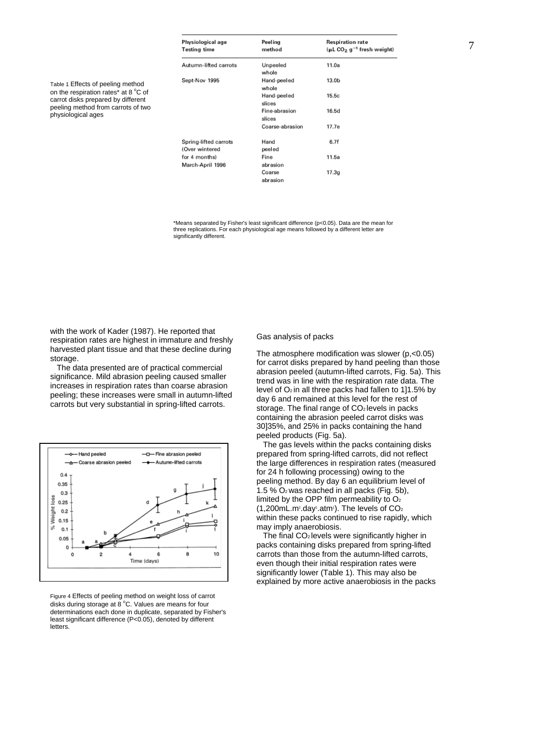| Physiological age<br>Testing time       | Peeling<br>method             | <b>Respiration rate</b><br>(µL CO <sub>2</sub> g <sup>-1</sup> fresh weight) |
|-----------------------------------------|-------------------------------|------------------------------------------------------------------------------|
| Autumn-lifted carrots                   | Unpeeled<br>whole             | 11.0a                                                                        |
| Sept-Nov 1995                           | Hand-peeled<br>13.0b<br>whole |                                                                              |
|                                         | Hand-peeled<br>slices         | 15.5c                                                                        |
|                                         | Fine-abrasion<br>slices       | 16.5d                                                                        |
|                                         | Coarse-abrasion               | 17.7e                                                                        |
| Spring-lifted carrots<br>(Over wintered | Hand<br>peeled                | 6.7f                                                                         |
| for 4 months)<br>March-April 1996       | Fine<br>abrasion              | 11.5a                                                                        |
|                                         | Coarse<br>abrasion            | 17.3q                                                                        |

\*Means separated by Fisher's least significant difference (p<0.05). Data are the mean for three replications. For each physiological age means followed by a different letter are significantly different.

with the work of Kader (1987). He reported that respiration rates are highest in immature and freshly harvested plant tissue and that these decline during storage.

on the respiration rates\* at 8 °C of carrot disks prepared by different peeling method from carrots of two

Table 1 Effects of peeling method

physiological ages

 The data presented are of practical commercial significance. Mild abrasion peeling caused smaller increases in respiration rates than coarse abrasion peeling; these increases were small in autumn-lifted carrots but very substantial in spring-lifted carrots.



disks during storage at 8  $^{\circ}$ C. Values are means for four determinations each done in duplicate, separated by Fisher's least significant difference (P<0.05), denoted by different letters. Figure 4 Effects of peeling method on weight loss of carrot

# Gas analysis of packs

The atmosphere modification was slower  $(p, < 0.05)$ for carrot disks prepared by hand peeling than those abrasion peeled (autumn-lifted carrots, Fig. 5a). This trend was in line with the respiration rate data. The level of  $O_2$  in all three packs had fallen to 1]1.5% by day 6 and remained at this level for the rest of storage. The final range of CO<sub>2</sub> levels in packs containing the abrasion peeled carrot disks was 30]35%, and 25% in packs containing the hand peeled products (Fig. 5a).

 The gas levels within the packs containing disks prepared from spring-lifted carrots, did not reflect the large differences in respiration rates (measured for 24 h following processing) owing to the peeling method. By day 6 an equilibrium level of 1.5 % O2 was reached in all packs (Fig. 5b), limited by the OPP film permeability to O<sub>2</sub>  $(1, 200 \text{mL} \cdot \text{m}^2 \cdot \text{day}^1 \cdot \text{atm}^1)$ . The levels of CO<sub>2</sub> within these packs continued to rise rapidly, which may imply anaerobiosis.

 The final CO2 levels were significantly higher in packs containing disks prepared from spring-lifted carrots than those from the autumn-lifted carrots, even though their initial respiration rates were significantly lower (Table 1). This may also be explained by more active anaerobiosis in the packs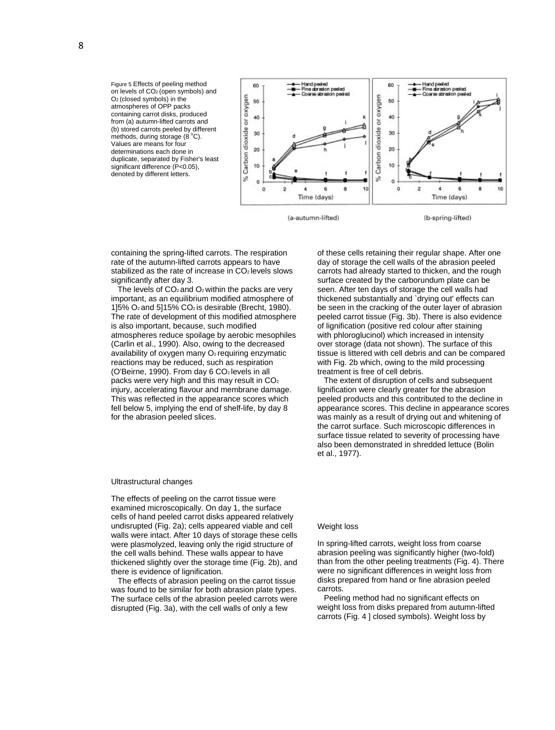Figure 5 Effects of peeling method on levels of CO2 (open symbols) and O2 (closed symbols) in the atmospheres of OPP packs containing carrot disks, produced from (a) autumn-lifted carrots and (b) stored carrots peeled by different methods, during storage  $(8^{\circ}C)$ . Values are means for four determinations each done in duplicate, separated by Fisher's least significant difference (P<0.05). denoted by different letters.



containing the spring-lifted carrots. The respiration rate of the autumn-lifted carrots appears to have stabilized as the rate of increase in  $CO<sub>2</sub>$  levels slows significantly after day 3.

The levels of  $CO<sub>2</sub>$  and  $O<sub>2</sub>$  within the packs are very important, as an equilibrium modified atmosphere of 1]5% O<sub>2</sub> and 5]15% CO<sub>2</sub> is desirable (Brecht, 1980). The rate of development of this modified atmosphere is also important, because, such modified atmospheres reduce spoilage by aerobic mesophiles (Carlin et al., 1990). Also, owing to the decreased availability of oxygen many  $O<sub>2</sub>$  requiring enzymatic reactions may be reduced, such as respiration (O'Beirne, 1990). From day 6 CO<sub>2</sub> levels in all packs were very high and this may result in CO<sub>2</sub> injury, accelerating flavour and membrane damage. This was reflected in the appearance scores which fell below 5, implying the end of shelf-life, by day 8 for the abrasion peeled slices.

#### Ultrastructural changes

The effects of peeling on the carrot tissue were examined microscopically. On day 1, the surface cells of hand peeled carrot disks appeared relatively undisrupted (Fig. 2a); cells appeared viable and cell walls were intact. After 10 days of storage these cells were plasmolyzed, leaving only the rigid structure of the cell walls behind. These walls appear to have thickened slightly over the storage time (Fig. 2b), and there is evidence of lignification.

 The effects of abrasion peeling on the carrot tissue was found to be similar for both abrasion plate types. The surface cells of the abrasion peeled carrots were disrupted (Fig. 3a), with the cell walls of only a few

of these cells retaining their regular shape. After one day of storage the cell walls of the abrasion peeled carrots had already started to thicken, and the rough surface created by the carborundum plate can be seen. After ten days of storage the cell walls had thickened substantially and `drying out' effects can be seen in the cracking of the outer layer of abrasion peeled carrot tissue (Fig. 3b). There is also evidence of lignification (positive red colour after staining with phloroglucinol) which increased in intensity over storage (data not shown). The surface of this tissue is littered with cell debris and can be compared with Fig. 2b which, owing to the mild processing treatment is free of cell debris.

 The extent of disruption of cells and subsequent lignification were clearly greater for the abrasion peeled products and this contributed to the decline in appearance scores. This decline in appearance scores was mainly as a result of drying out and whitening of the carrot surface. Such microscopic differences in surface tissue related to severity of processing have also been demonstrated in shredded lettuce (Bolin et al., 1977).

#### Weight loss

In spring-lifted carrots, weight loss from coarse abrasion peeling was significantly higher (two-fold) than from the other peeling treatments (Fig. 4). There were no significant differences in weight loss from disks prepared from hand or fine abrasion peeled carrots.

 Peeling method had no significant effects on weight loss from disks prepared from autumn-lifted carrots (Fig. 4 ] closed symbols). Weight loss by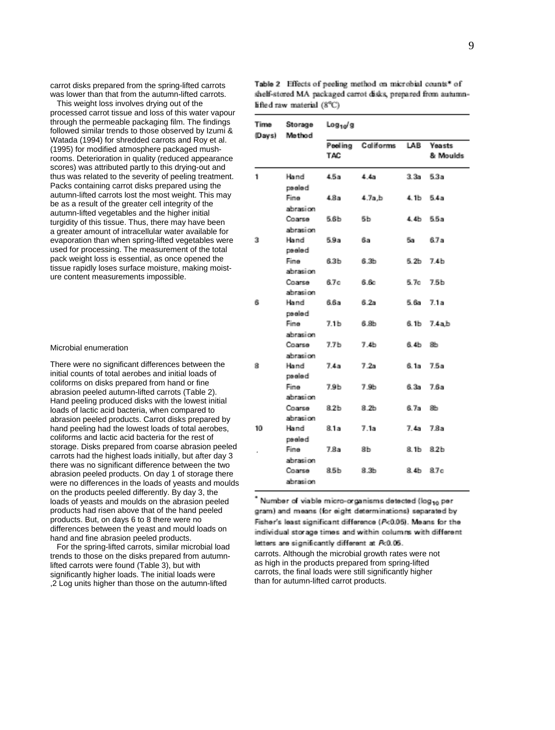carrot disks prepared from the spring-lifted carrots was lower than that from the autumn-lifted carrots.

 This weight loss involves drying out of the processed carrot tissue and loss of this water vapour through the permeable packaging film. The findings followed similar trends to those observed by Izumi & Watada (1994) for shredded carrots and Roy et al. (1995) for modified atmosphere packaged mushrooms. Deterioration in quality (reduced appearance scores) was attributed partly to this drying-out and thus was related to the severity of peeling treatment. Packs containing carrot disks prepared using the autumn-lifted carrots lost the most weight. This may be as a result of the greater cell integrity of the autumn-lifted vegetables and the higher initial turgidity of this tissue. Thus, there may have been a greater amount of intracellular water available for evaporation than when spring-lifted vegetables were used for processing. The measurement of the total pack weight loss is essential, as once opened the tissue rapidly loses surface moisture, making moisture content measurements impossible.

Microbial enumeration

There were no significant differences between the initial counts of total aerobes and initial loads of coliforms on disks prepared from hand or fine abrasion peeled autumn-lifted carrots (Table 2). Hand peeling produced disks with the lowest initial loads of lactic acid bacteria, when compared to abrasion peeled products. Carrot disks prepared by hand peeling had the lowest loads of total aerobes, coliforms and lactic acid bacteria for the rest of storage. Disks prepared from coarse abrasion peeled carrots had the highest loads initially, but after day 3 there was no significant difference between the two abrasion peeled products. On day 1 of storage there were no differences in the loads of yeasts and moulds on the products peeled differently. By day 3, the loads of yeasts and moulds on the abrasion peeled products had risen above that of the hand peeled products. But, on days 6 to 8 there were no differences between the yeast and mould loads on hand and fine abrasion peeled products.

 For the spring-lifted carrots, similar microbial load trends to those on the disks prepared from autumnlifted carrots were found (Table 3), but with significantly higher loads. The initial loads were ,2 Log units higher than those on the autumn-lifted

Table 2 Effects of peeling method on microbial counts\* of shelf-stored MA packaged carrot disks, prepared from autumnlifted raw material (8°C)

| Time<br>(Days) | Storage<br>Method  | $Log_{10}/g$     |                  |                  |                    |
|----------------|--------------------|------------------|------------------|------------------|--------------------|
|                |                    | Peeling<br>TAC   | Califorms        | LAB              | Yeasts<br>& Moulds |
| 1              | Hand<br>peeled     | 4.5a             | 4.4a             | 3.3a             | 5.3a               |
|                | Fine<br>abrasion   | 48a              | 4.7a.b           | 4.1 <sub>b</sub> | 5.4a               |
|                | Coarse<br>abrasion | 5.6b             | 5Ь               | 4.4b             | 5.5a               |
| з              | Hand<br>peeled     | 5.9a             | 6a               | 58               | 6.7a               |
|                | Fine<br>abrasion   | 6.3 <sub>b</sub> | 6.3 <sub>b</sub> | 5.2 <sub>b</sub> | 7.4 <sub>b</sub>   |
|                | Coarse<br>abrasion | 6.7c             | 6.6c             | 5.7c             | 7.5b               |
| 6              | Hand<br>peeled     | 6.6a             | 6.2a             | 5.6a             | 7.1a               |
|                | Fine<br>abrasion   | 7.1b             | 6.8b             | 6.1b             | 7.4a.b             |
|                | Coarse<br>abrasion | 7.7Ь             | 7.4 <sub>b</sub> | 6.4b             | 8b                 |
| 8              | Hand<br>peeled     | 7.4a             | 7.2a             | 6.1a             | 7.5a               |
|                | Fine<br>abrasion   | 7.9b             | 7.9 <sub>b</sub> | 6.3a             | 7.6a               |
|                | Coarse<br>abrasion | 8.2 <sub>b</sub> | 8.2 <sub>b</sub> | 6.7a             | 8b                 |
| 10             | Hand<br>peeled     | 8.1a             | 7.1a             | 7.4a             | 7.8a               |
|                | Fine<br>abrasion   | 7.8a             | 8b               | 8.1b             | 8.2b               |
|                | Coarse<br>abrasion | 8.5b             | 8.3b             | 8.4b             | 8.7c               |

\* Number of viable micro-organisms detected (log<sub>10</sub> per gram) and means (for eight determinations) separated by Fisher's least significant difference (P<0.05). Means for the individual storage times and within columns with different letters are significantly different at Pc0.05.

carrots. Although the microbial growth rates were not as high in the products prepared from spring-lifted carrots, the final loads were still significantly higher than for autumn-lifted carrot products.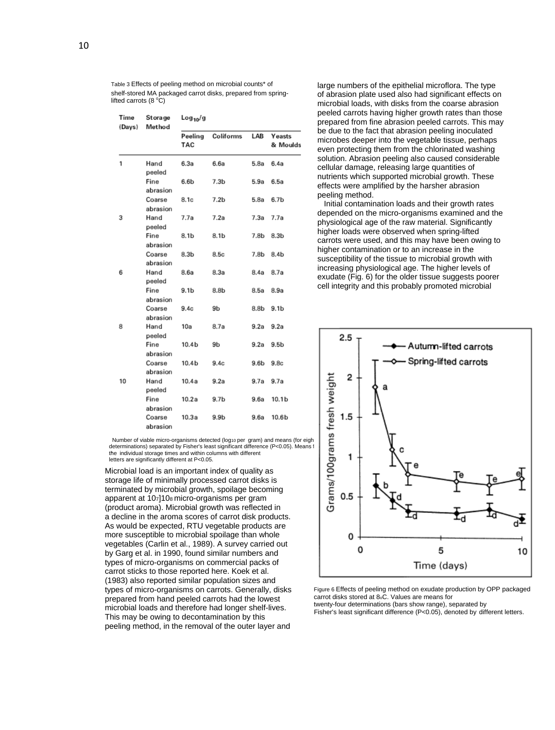Table 3 Effects of peeling method on microbial counts\* of shelf-stored MA packaged carrot disks, prepared from spring-<br>lifted carrots (8 °C)

| Time<br>(Days)                        | <b>Storage</b><br>Method | $Log_{10}/g$          |                  |                  |                    |  |
|---------------------------------------|--------------------------|-----------------------|------------------|------------------|--------------------|--|
|                                       |                          | Peeling<br><b>TAC</b> | Coliforms        | LAB              | Yeasts<br>& Moulds |  |
| 1                                     | Hand<br>peeled           | 6.За                  | 6.6a             | 5.8a             | 6.4a               |  |
|                                       | Fine<br>abrasion         | 6.6b                  | 7.3 <sub>b</sub> | 5.9a             | 6.5a               |  |
|                                       | Coarse<br>abrasion       | 8.1c                  | 7.2 <sub>b</sub> | 5.8a             | 6.7 <sub>b</sub>   |  |
| 3                                     | Hand<br>peeled           | 7.7a                  | 7.2a             | 7.3a             | 7.7a               |  |
|                                       | Fine<br>abrasion         | 8.1b                  | 8.1b             | 7.8b             | 8.3b               |  |
|                                       | Coarse<br>abrasion       | 8.3b                  | 8.5c             | 7.8 <sub>b</sub> | 8.4b               |  |
| Hand<br>6<br>peeled<br>Fine           |                          | 8.6a                  | 8.3а             | 8.4a             | 8.7a               |  |
|                                       | abrasion                 | 9.1 <sub>b</sub>      | 8.8b             | 8.5a             | 8.9a               |  |
|                                       | Coarse<br>abrasion       | 9.4c                  | 9b               | 8.8b             | 9.1 <sub>b</sub>   |  |
| Hand<br>8<br>peeled<br>Fine<br>Coarse |                          | 10a                   | 8.7a             | 9.2a             | 9.2a               |  |
|                                       | abrasion                 | 10.4 <sub>b</sub>     | 9b               | 9.2a             | 9.5b               |  |
|                                       | abrasion                 | 10.4 <sub>b</sub>     | 9.4c             | 9.6 <sub>b</sub> | 9.8c               |  |
| 10                                    | Hand<br>peeled           | 10.4a                 | 9.2a             | 9.7a             | 9.7a               |  |
|                                       | Fine<br>abrasion         | 10.2a                 | 9.7b             | 9.6a             | 10.1 <sub>b</sub>  |  |
|                                       | Coarse<br>abrasion       | 10.3a                 | 9.9b             | 9.6a             | 10.6 <sub>b</sub>  |  |

\* Number of viable micro-organisms detected (log10 per gram) and means (for eigh<br>determinations) separated by Fisher's least significant difference (P<0.05). Means f<br>the individual storage times and within columns with di letters are significantly different at P<0.05.

Microbial load is an important index of quality as storage life of minimally processed carrot disks is terminated by microbial growth, spoilage becoming apparent at 107]108 micro-organisms per gram (product aroma). Microbial growth was reflected in a decline in the aroma scores of carrot disk products. As would be expected, RTU vegetable products are more susceptible to microbial spoilage than whole vegetables (Carlin et al., 1989). A survey carried out by Garg et al. in 1990, found similar numbers and types of micro-organisms on commercial packs of carrot sticks to those reported here. Koek et al. (1983) also reported similar population sizes and types of micro-organisms on carrots. Generally, disks prepared from hand peeled carrots had the lowest microbial loads and therefore had longer shelf-lives. This may be owing to decontamination by this peeling method, in the removal of the outer layer and

large numbers of the epithelial microflora. The type of abrasion plate used also had significant effects on microbial loads, with disks from the coarse abrasion peeled carrots having higher growth rates than those prepared from fine abrasion peeled carrots. This may be due to the fact that abrasion peeling inoculated microbes deeper into the vegetable tissue, perhaps even protecting them from the chlorinated washing solution. Abrasion peeling also caused considerable cellular damage, releasing large quantities of nutrients which supported microbial growth. These effects were amplified by the harsher abrasion peeling method.

 Initial contamination loads and their growth rates depended on the micro-organisms examined and the physiological age of the raw material. Significantly higher loads were observed when spring-lifted carrots were used, and this may have been owing to higher contamination or to an increase in the susceptibility of the tissue to microbial growth with increasing physiological age. The higher levels of exudate (Fig. 6) for the older tissue suggests poorer cell integrity and this probably promoted microbial



Figure 6 Effects of peeling method on exudate production by OPP packaged carrot disks stored at 8oC. Values are means for

twenty-four determinations (bars show range), separated by

Fisher's least significant difference (P<0.05), denoted by different letters.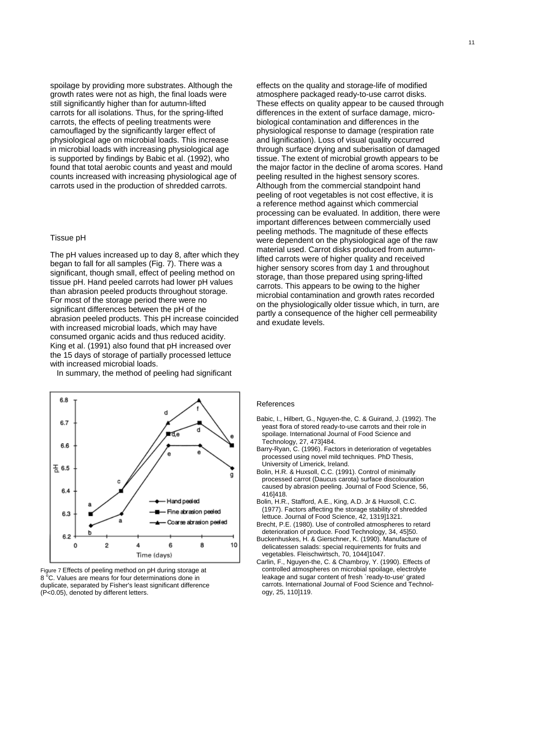spoilage by providing more substrates. Although the growth rates were not as high, the final loads were still significantly higher than for autumn-lifted carrots for all isolations. Thus, for the spring-lifted carrots, the effects of peeling treatments were camouflaged by the significantly larger effect of physiological age on microbial loads. This increase in microbial loads with increasing physiological age is supported by findings by Babic et al. (1992), who found that total aerobic counts and yeast and mould counts increased with increasing physiological age of carrots used in the production of shredded carrots.

# Tissue pH

The pH values increased up to day 8, after which they began to fall for all samples (Fig. 7). There was a significant, though small, effect of peeling method on tissue pH. Hand peeled carrots had lower pH values than abrasion peeled products throughout storage. For most of the storage period there were no significant differences between the pH of the abrasion peeled products. This pH increase coincided with increased microbial loads, which may have consumed organic acids and thus reduced acidity. King et al. (1991) also found that pH increased over the 15 days of storage of partially processed lettuce with increased microbial loads.

In summary, the method of peeling had significant



Figure 7 Effects of peeling method on pH during storage at 8<sup>°</sup>C. Values are means for four determinations done in duplicate, separated by Fisher's least significant difference (P<0.05), denoted by different letters.

effects on the quality and storage-life of modified atmosphere packaged ready-to-use carrot disks. These effects on quality appear to be caused through differences in the extent of surface damage, microbiological contamination and differences in the physiological response to damage (respiration rate and lignification). Loss of visual quality occurred through surface drying and suberisation of damaged tissue. The extent of microbial growth appears to be the major factor in the decline of aroma scores. Hand peeling resulted in the highest sensory scores. Although from the commercial standpoint hand peeling of root vegetables is not cost effective, it is a reference method against which commercial processing can be evaluated. In addition, there were important differences between commercially used peeling methods. The magnitude of these effects were dependent on the physiological age of the raw material used. Carrot disks produced from autumnlifted carrots were of higher quality and received higher sensory scores from day 1 and throughout storage, than those prepared using spring-lifted carrots. This appears to be owing to the higher microbial contamination and growth rates recorded on the physiologically older tissue which, in turn, are partly a consequence of the higher cell permeability and exudate levels.

#### References

- Babic, I., Hilbert, G., Nguyen-the, C. & Guirand, J. (1992). The yeast flora of stored ready-to-use carrots and their role in spoilage. International Journal of Food Science and Technology, 27, 473]484.
- Barry-Ryan, C. (1996). Factors in deterioration of vegetables processed using novel mild techniques. PhD Thesis, University of Limerick, Ireland.
- Bolin, H.R. & Huxsoll, C.C. (1991). Control of minimally processed carrot (Daucus carota) surface discolouration caused by abrasion peeling. Journal of Food Science, 56, 416]418.
- Bolin, H.R., Stafford, A.E., King, A.D. Jr & Huxsoll, C.C. (1977). Factors affecting the storage stability of shredded lettuce. Journal of Food Science, 42, 1319]1321.
- Brecht, P.E. (1980). Use of controlled atmospheres to retard deterioration of produce. Food Technology, 34, 45]50.
- Buckenhuskes, H. & Gierschner, K. (1990). Manufacture of delicatessen salads: special requirements for fruits and vegetables. Fleischwirtsch, 70, 1044]1047.
- Carlin, F., Nguyen-the, C. & Chambroy, Y. (1990). Effects of controlled atmospheres on microbial spoilage, electrolyte leakage and sugar content of fresh `ready-to-use' grated carrots. International Journal of Food Science and Technol ogy, 25, 110]119.